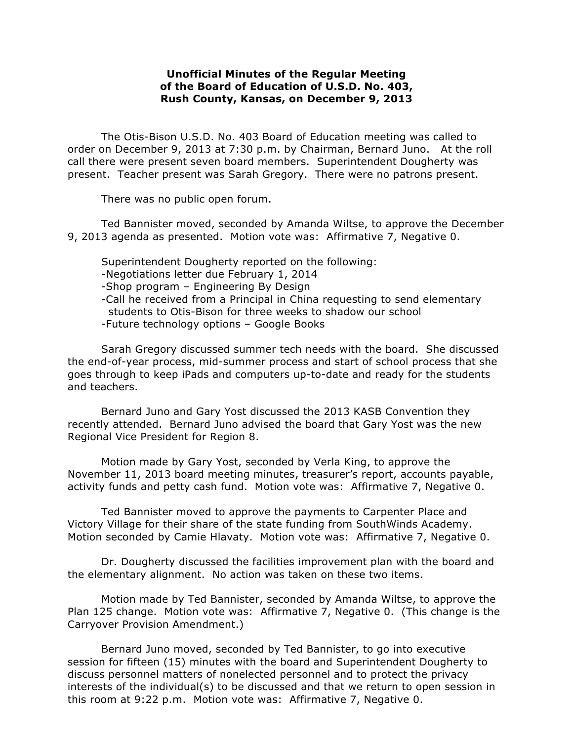## **Unofficial Minutes of the Regular Meeting of the Board of Education of U.S.D. No. 403, Rush County, Kansas, on December 9, 2013**

The Otis-Bison U.S.D. No. 403 Board of Education meeting was called to order on December 9, 2013 at 7:30 p.m. by Chairman, Bernard Juno. At the roll call there were present seven board members. Superintendent Dougherty was present. Teacher present was Sarah Gregory. There were no patrons present.

There was no public open forum.

Ted Bannister moved, seconded by Amanda Wiltse, to approve the December 9, 2013 agenda as presented. Motion vote was: Affirmative 7, Negative 0.

Superintendent Dougherty reported on the following: -Negotiations letter due February 1, 2014 -Shop program – Engineering By Design -Call he received from a Principal in China requesting to send elementary students to Otis-Bison for three weeks to shadow our school -Future technology options – Google Books

Sarah Gregory discussed summer tech needs with the board. She discussed the end-of-year process, mid-summer process and start of school process that she goes through to keep iPads and computers up-to-date and ready for the students and teachers.

Bernard Juno and Gary Yost discussed the 2013 KASB Convention they recently attended. Bernard Juno advised the board that Gary Yost was the new Regional Vice President for Region 8.

Motion made by Gary Yost, seconded by Verla King, to approve the November 11, 2013 board meeting minutes, treasurer's report, accounts payable, activity funds and petty cash fund. Motion vote was: Affirmative 7, Negative 0.

Ted Bannister moved to approve the payments to Carpenter Place and Victory Village for their share of the state funding from SouthWinds Academy. Motion seconded by Camie Hlavaty. Motion vote was: Affirmative 7, Negative 0.

Dr. Dougherty discussed the facilities improvement plan with the board and the elementary alignment. No action was taken on these two items.

Motion made by Ted Bannister, seconded by Amanda Wiltse, to approve the Plan 125 change. Motion vote was: Affirmative 7, Negative 0. (This change is the Carryover Provision Amendment.)

 Bernard Juno moved, seconded by Ted Bannister, to go into executive session for fifteen (15) minutes with the board and Superintendent Dougherty to discuss personnel matters of nonelected personnel and to protect the privacy interests of the individual(s) to be discussed and that we return to open session in this room at 9:22 p.m. Motion vote was: Affirmative 7, Negative 0.